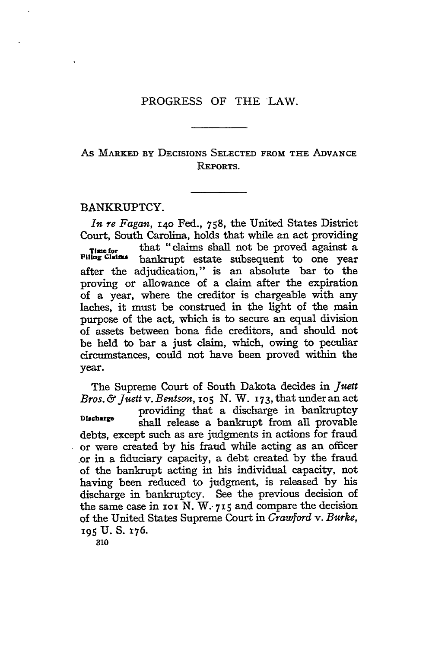# As MARKED BY DECISIONS **SELECTED FROM** THE **ADVANCE** REPORTS.

## BANKRUPTCY.

*In re Fagan,* **i4o** Fed., 758, the United States District Court, South Carolina, holds that while an act providing **Time for** that "claims shall not be proved against a<br>Filing Claims hankrupt, estate subsequent to one year bankrupt estate subsequent to one year after the adjudication," is an absolute bar to the proving or allowance of a claim after the expiration of a year, where the creditor is chargeable with any laches, it must be construed in the light of the main purpose of the act, which is to secure an equal division of assets between bona fide creditors, and should not be held to bar a just claim, which, owing to peculiar circumstances, could not have been proved within the year.

The Supreme Court of South Dakota decides in *Juelt Bros.& Juett v. Bentson, 1o5* N. W. 173, that under an act providing that a discharge in bankruptcy Discharge shall release a bankrupt from all provable debts, except such as are judgments in actions for fraud or were created **by** his fraud while acting as an officer or in a fiduciary capacity, a debt created **by** the fraud of the bankrupt acting in his individual capacity, not having been reduced to judgment, is released **by** his discharge in bankruptcy. See the previous decision of the same case in **1oi** N. W.- **715** and compare the decision of the United States Supreme Court in *Craw ord v. Burke,* **195 U. S. 176.**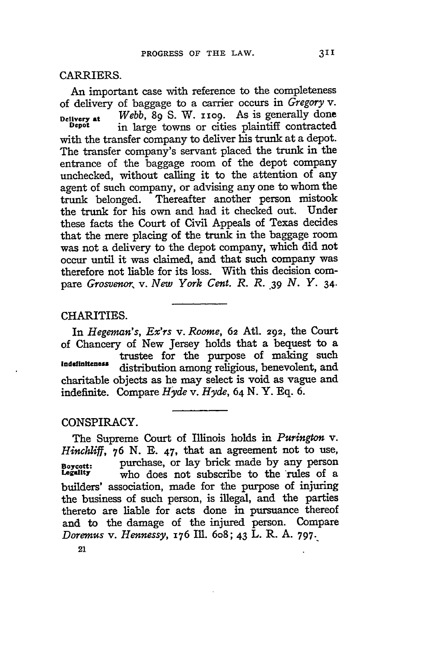#### CARRIERS.

An important case with reference to the completeness of delivery of baggage to a carrier occurs in *Gregory v.* **Delivery at** *Webb,* 89 **S.** W. **11o9.** As is generally done in large towns or cities plaintiff contracted with the transfer company to deliver his trunk at a depot. The transfer company's servant placed the trunk in the entrance of the baggage room of the depot company unchecked, without calling it to the attention of any agent of such company, or advising any one to whom the trunk belonged. Thereafter another person mistook the trunk for his own and had it checked out. Under these facts the Court of Civil Appeals of Texas decides that the mere placing of the trunk in the baggage room was not a delivery to the depot company, which did not occur until it was claimed, and that such company was therefore not liable for its loss. With this decision compare *Grosvenor, v. New York Cent. R. R.* **.39** *N. Y.* 34.

## CHARITIES.

In *Hegeman's, Ex'rs v. Roome,* 62 Atl. 292, the Court of Chancery of New Jersey holds that a bequest to a trustee for the purpose of making such Indefiniteness distribution among religious, benevolent, and charitable objects as he may select is void as vague and indefinite. Compare *Hyde* v. *Hyde,* 64 N. Y. Eq. 6.

### CONSPIRACY.

The Supreme Court of Illinois holds in *Purington* v. *Hinchliff,* **76 N. E.** 47, that an agreement not to use, **Boycott:** purchase, or lay brick made by any person who does not subscribe to the rules of a builders' association, made for the purpose of injuring the business of such person, is illegal, and the parties thereto are liable for acts done in pursuance thereof and to the damage of the injured person. Compare *Doremus v. Hennessy, 176* II. 6o8; 43 L. R. **A. 797.**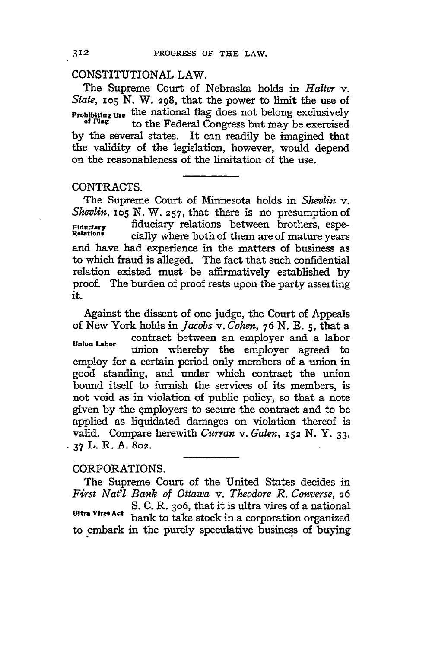# CONSTITUTIONAL LAW.

The Supreme Court of Nebraska holds in *Halter v. State, 105* N. W. **298,** that the power to limit the use of **Prohibiting Use** the national flag does not belong exclusively of Flag to the Federal Congress but may be exercised by the several states. It can readily be imagined that the validity of the legislation, however, would depend on the reasonableness of the limitation of the use.

# CONTRACTS.

The Supreme Court of Minnesota holds in *Shevlin v. Shevlin*, *io5* N. W. **257**, that there is no presumption of *Fiduciary* fiduciary relations between brothers, espe-Fiduclary **FIGUCIARY relations** between brothers, espe-<br><sup>Relations</sup> cially where both of them are of mature years and have had experience in the matters of business as to which fraud is alleged. The fact that such confidential relation existed must' be affirmatively established by proof. The burden of proof rests upon the party asserting it.

Against the dissent of one judge, the Court of Appeals of New York holds in *Jacobs v. Cohen, 76* N. *E.* **5,** that a contract between an employer and a labor **Union Labor** union whereby the employer agreed to employ for a certain period only members of a union in good standing, and under which contract the union bound itself to furnish the services of its members, is not void as in violation of public policy, so that a note given **by** the employers to secure the contract and to be applied as liquidated damages on violation thereof is valid. Compare herewith *Curran v. Galen, 152 N. Y. 33,* **-** *37* L. R. **A. 802.**

### CORPORATIONS.

The Supreme Court of the United States decides in *First Nat'l Bank of Ottawa v. Theodore R. Converse,* **<sup>26</sup>** S. C. R. **3o6,** that it is ultra vires of a national Ultra Vires Act **bank** to take stock in a corporation organized to embark in the purely speculative business of buying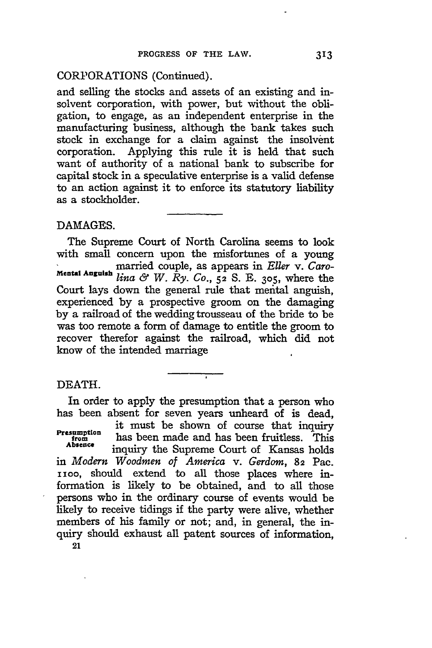### CORPORATIONS (Continued).

and selling the stocks and assets of an existing and insolvent corporation, with power, but without the obligation, to engage, as an independent enterprise in the manufacturing business, although the bank takes such stock in exchange for a claim against the insolvent corporation. Applying this rule it is held that such want of authority of a national bank to subscribe for capital stock in a speculative enterprise is a valid defense to an action against it to enforce its statutory liability as a stockholder.

### **DAMAGES.**

The Supreme Court of North Carolina seems to look with small concern upon the misfortunes of a young married couple, as appears in *Eller v. Garo-***Mental Anguish** *lina & W. Ry. Co.,* **52 S.** E. **305,** where the Court lays down the general rule that mental anguish, experienced by a prospective groom on the damaging by a railroad of the wedding trousseau of the bride to be was too remote a form of damage to entitle the groom to recover therefor against the railroad, which did not know of the intended marriage

# DEATH.

In order to apply the presumption that a person who has been absent for seven years unheard of is dead, it must be shown of course that inquiry Fresumption<br>has been made and has been fruitless. This<br>absence inquiry the Supreme Court of Kansas holds in *Modern Woodmen of America v. Gerdom,* **82** Pac. 1100, should extend to all those places where information is likely to be obtained, and to all those persons who in the ordinary course of events would be likely to receive tidings if the party were alive, whether members of his family or not; and, in general, the inquiry should exhaust all patent sources of information,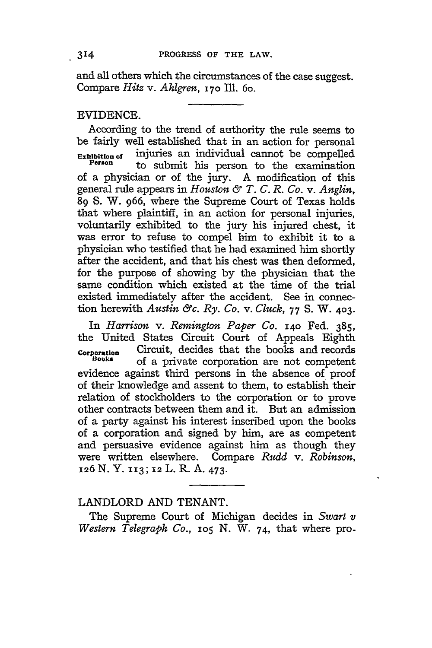and all others which the circumstances of the case suggest. Compare *Hitz v. AhIgren,* **170** Ill. 6o.

## EVIDENCE.

According to the trend of authority the rule seems to be fairly well established that in an action for personal<br>Exhibition of injuries an individual cannot be compelled **Exhibition of** injuries an individual cannot be compelled **Person** to submit his person to the examination of a physician or of the jury. A modification of this general rule appears in *Houston &9 T. C. R. Co.* v. *Anglin,* 89 S. W. 966, where the Supreme Court of Texas holds that where plaintiff, in an action for personal injuries, voluntarily exhibited to the jury his injured chest, it was error to refuse to compel him to exhibit it to a physician who testified that he had examined him shortly after the accident, and that his chest was then deformed, for the purpose of showing by the physician that the same condition which existed at the time of the trial existed immediately after the accident. See in connection herewith *Austin &c. Ry. Co. v. Cluck,* 77 **S.** W. 403.

In *Harrison v. Remington Paper Co.* 14o Fed. 385, the United States Circuit Court of Appeals Eighth **corportion** Circuit, decides that the books and records of a private corporation are not competent evidence against third persons in the absence of proof of their knowledge and assent to them, to establish their relation of stockholders to the corporation or to prove other contracts between them and it. But an admission of a party against his interest inscribed upon the books of a corporation and signed by him, are as competent and persuasive evidence against him as though they were written elsewhere. Compare *Rudd* v. *Robinson,* **126** N. Y. 113; **12** L. R. A. 473.

# LANDLORD AND TENANT.

The Supreme Court of Michigan decides in *Swart v Western Telegraph Co., 105* N. W. 74, that where pro-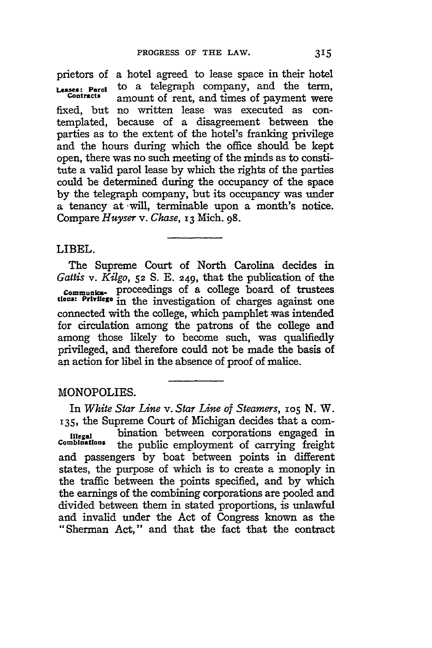prietors of a hotel agreed to lease space in their hotel<br>senses: Berght to a telegraph company, and the term, *Leases:* **Parol** to a telegraph company, and the term, **Contracts** amount of rent, and times of payment were fixed, but no written lease was executed as contemplated, because of a disagreement between the parties as to the extent of the hotel's franking privilege and the hours during which the office should be kept open, there was no such meeting of the minds as to constitute a valid parol lease **by** which the rights of the parties could be determined during the occupancy of the space **by** the telegraph company, but its occupancy was under a tenancy at -will, terminable upon a month's notice. Compare *Huyser* v. *Chase,* 13 Mich. **98.**

### LIBEL.

The Supreme Court of North Carolina decides in *Gattis v. Kilgo,* **52** S. **E. 249,** that the publication of the **Commu,a-** proceedings of a college board of trustees **tlons: Privilege** in the investigation of charges against one connected with the college, which pamphlet was intended for circulation among the patrons of the college and among those likely to become such, was qualifiedly privileged, and therefore could not be made the basis of an action for libel in the absence of proof of malice.

# MONOPOLIES.

In *White Star Line v. Star Line of Steamers, io5* **N.** W. 135, the Supreme Court of Michigan decides that a com-Illegal *bination between corporations engaged in*<br> **Combinations** the public employment of carrying freight the public employment of carrying freight and passengers **by** boat between points in different states, the purpose of which is to create a monoply in the traffic between the points specified, and **by** which the earnings of the combining corporations are pooled and divided between them in stated proportions, is unlawful and invalid under the Act of Congress known as the "Sherman Act," and that the fact that the contract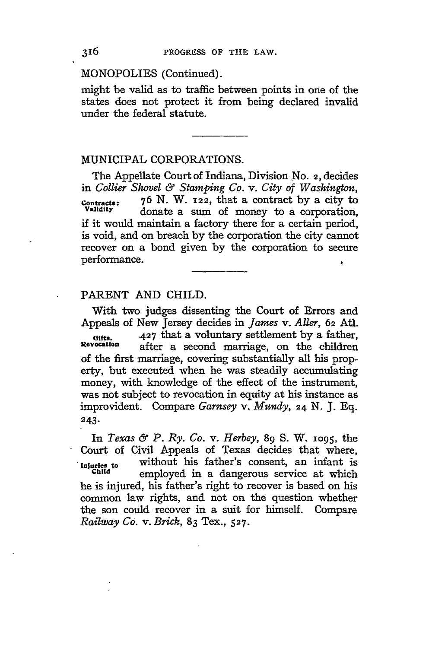# MONOPOLIES (Continued).

might be valid as to traffic between points in one of the states does not protect it from being declared invalid under the federal statute.

## MUNICIPAL CORPORATIONS.

The Appellate Court of Indiana, Division No. 2, decides in *Collier Shovel & Stamping Co. v. City of Washington,* **Contracts:** 76 N. W. 122, that a contract **by** a city to donate a sum of money to a corporation, if it would maintain a factory there for a certain period, is void, and on breach by the corporation the city cannot recover on a bond given by the corporation to secure performance.

# PARENT **AND** CHILD.

With two judges dissenting the Court of Errors and Appeals of New Jersey decides in *James v. Aller,* 62 *Atl.* Gifts. **427** that a voluntary settlement by a father,<br>Revocation ofter a second marriage on the objection after a second marriage, on the children of the first marriage, covering substantially all his property, but executed when he was steadily accumulating money, with knowledge of the effect of the instrument, was not subject to revocation in equity at his instance as improvident. Compare *Garnsey v. Mundy,* 24 N. J. Eq. 243.

In *Texas 6 P. Ry. Co. v. Herbey,* 89 **S.** W. **1095,** the Court of Civil Appeals of Texas decides that where, **Injuries to** without his father's consent, an infant is employed in a dangerous service at which he is injured, his father's right to recover is based on his common law rights, and not on the question whether the son could recover in a suit for himself. Compare *Railway Co. v. Brick,* 83 Tex., **527.**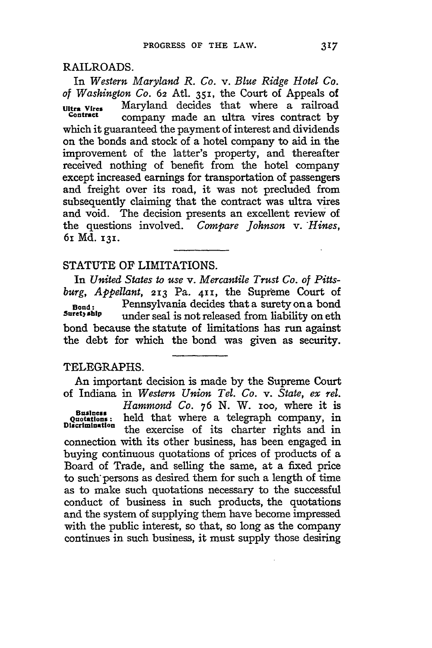# RAILROADS.

In *Western Maryland R. Co. v. Blue Ridge Hotel Co. of Washington Co.* **62** Atl. 351, the Court of Appeals of Ultra Vires Maryland decides that where a railroad company made an ultra vires contract by which it guaranteed the payment of interest and dividends on the bonds and stock of a hotel company to aid in the improvement of the latter's property, and thereafter received nothing of benefit from the hotel company except increased earnings for transportation of passengers and freight over its road, it was not precluded from subsequently claiming that the contract was ultra vires and void. The decision presents an excellent review of the questions involved. *Compare Johnson v. Hines,* 61 **Md. 131.**

# STATUTE OF LIMITATIONS.

In *United States to use v. Mercantile Trust Co. of Pittsburg, Appellant,* **213** Pa. **411,** the Supreme Court of **Bond:** Pennsylvania decides that a surety on a bond under seal is not released from liability on eth bond because the statute of limitations has run against the debt for which the bond was given as security.

# TELEGRAPHS.

An important decision is made **by** the Supreme Court of Indiana in *Western Union Tel. Co. v. State, ex rel. Hammond Co.* **76** N. W. ioo, where it is Business: held that where a telegraph company, in<br>Discrimination the exercise of its charter rights and in Discrimination the exercise of its charter rights and in connection with its other business, has been engaged in buying continuous quotations of prices of products of a Board of Trade, and selling the same, at a fixed price to such" persons as desired them for such a length of time as to make such quotations necessary to the successful conduct of business in such products, the quotations and the system of supplying them have become impressed with the public interest, so that, so long as the company continues in such business, it must supply those desiring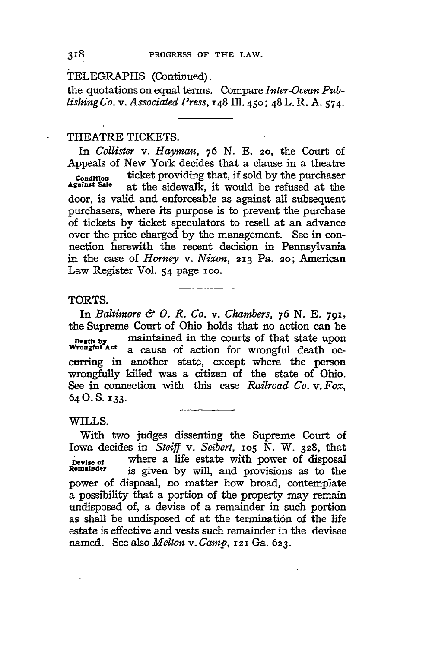;TELEGRAPHS (Continued).

the quotations on equal terms. Compare *Inter-Ocean Publishing Co. v. Associated Press,* 148 Ill. 450; 48 L. R. A. 574.

### THEATRE TICKETS.

In *Collister v. Hayman, 76* N. E. 20, the Court of Appeals of New York decides that a clause in a theatre **Condition** ticket providing that, if sold by the purchaser<br>Against Sale at the sidewalk it would be refused at the at the sidewalk, it would be refused at the door, is valid and enforceable as against all subsequent purchasers, where its purpose is to prevent the purchase of tickets by ticket speculators to resell at an advance over the price charged by the management. See in connection herewith the recent decision in Pennsylvania in the case of *Horney v. Nixon,* 213 Pa. **2o;** American Law Register Vol. 54 page ioo.

### TORTS.

In *Baltimore & 0. R. Co. v. Chambers,* 76 N. E. **791,** the Supreme Court of Ohio holds that no action can be **Death by maintained in the courts of that state upon**<br>Wrongful Act a cause of action for wrongful death oca cause of action for wrongful death occurring in another state, except where the person wrongfully killed was a citizen of the state of Ohio. See in connection with this case *Railroad Co. v. Fox,* 64O. S. **133.**

WILLS.

With two judges dissenting the Supreme Court of Iowa decides in *Steiff* v. *Seibert,* io5 **N.** W. **328,** that **I** pevise of **Where a life estate with power of disposal**<br>**Remainder** is given by will and provisions as to the is given by will, and provisions as to the power of disposal, no matter how broad, contemplate a possibility that a portion of the property may remain undisposed of, a devise of a remainder in such portion as shall be undisposed of at the termination of the life estate is effective and vests such remainder in the devisee named. See also *Melton v. Camp,* **121** Ga. **623.**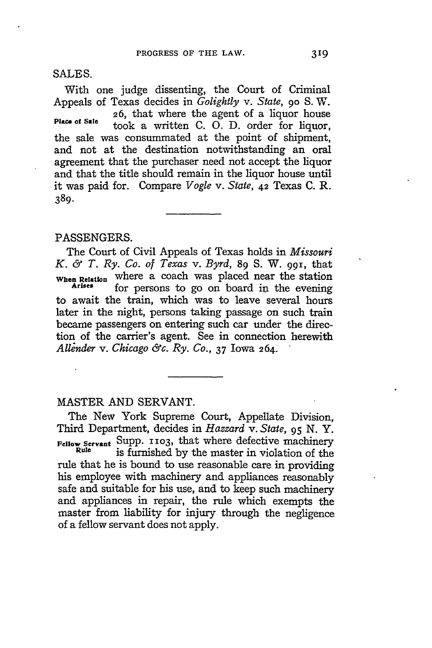SALES.

With one judge dissenting, the Court of Criminal Appeals of Texas decides in *Golightly v. State,* **90** S. W. 26, that where the agent of a liquor house took a written C. O. D. order for liquor, the sale was consummated at the point of shipment, and not at the destination notwithstanding an oral agreement that the purchaser need not accept the liquor and that the title should remain in the liquor house until it was paid for. Compare *Vogle v. State,* 42 Texas C. R. **389.**

### PASSENGERS.

The Court of Civil Appeals of Texas holds in *Missouri K. & T. Ry. Co. of Texas v. Byrd,* **89** S. W. **99 <sup>i</sup> ,** that **When Relation** where a coach was placed near the station for persons to go on board in the evening to await the train, which was to leave several hours later in the night, persons taking passage on such train became passengers on entering such car under the direction of the carrier's agent. See in connection herewith *All~nder v. Chicago &c. Ry. Co.,* 37 Iowa 264.

# MASTER AND SERVANT.

The New York Supreme Court, Appellate Division, Third Department, decides in *Hazzard v. State,* **95** N. Y. **Fellow Servant** Supp. **1103,** that where defective machinery Rule is furnished by the master in violation of the <sup>Rule</sup> is furnished by the master in violation of the rule that he is bound to use reasonable care in providing his employee with machinery and appliances reasonably safe and suitable for his use, and to keep such machinery and appliances in repair, the rule which exempts the master from liability for injury through the negligence of a fellow servant does not apply.